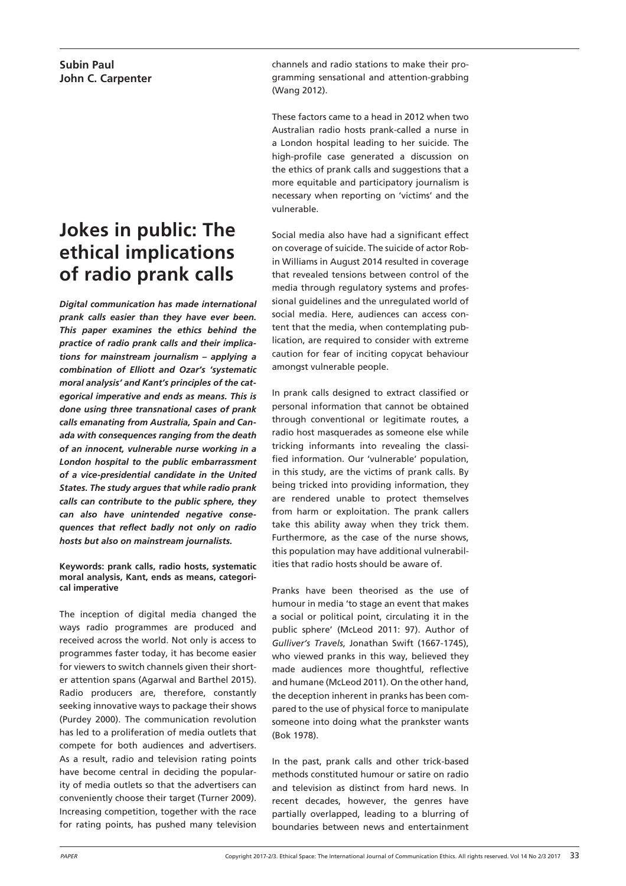# **Jokes in public: The ethical implications of radio prank calls**

*Digital communication has made international prank calls easier than they have ever been. This paper examines the ethics behind the practice of radio prank calls and their implications for mainstream journalism – applying a combination of Elliott and Ozar's 'systematic moral analysis' and Kant's principles of the categorical imperative and ends as means. This is done using three transnational cases of prank calls emanating from Australia, Spain and Canada with consequences ranging from the death of an innocent, vulnerable nurse working in a London hospital to the public embarrassment of a vice-presidential candidate in the United States. The study argues that while radio prank calls can contribute to the public sphere, they can also have unintended negative consequences that reflect badly not only on radio hosts but also on mainstream journalists.*

**Keywords: prank calls, radio hosts, systematic moral analysis, Kant, ends as means, categorical imperative**

The inception of digital media changed the ways radio programmes are produced and received across the world. Not only is access to programmes faster today, it has become easier for viewers to switch channels given their shorter attention spans (Agarwal and Barthel 2015). Radio producers are, therefore, constantly seeking innovative ways to package their shows (Purdey 2000). The communication revolution has led to a proliferation of media outlets that compete for both audiences and advertisers. As a result, radio and television rating points have become central in deciding the popularity of media outlets so that the advertisers can conveniently choose their target (Turner 2009). Increasing competition, together with the race for rating points, has pushed many television channels and radio stations to make their programming sensational and attention-grabbing (Wang 2012).

These factors came to a head in 2012 when two Australian radio hosts prank-called a nurse in a London hospital leading to her suicide. The high-profile case generated a discussion on the ethics of prank calls and suggestions that a more equitable and participatory journalism is necessary when reporting on 'victims' and the vulnerable.

Social media also have had a significant effect on coverage of suicide. The suicide of actor Robin Williams in August 2014 resulted in coverage that revealed tensions between control of the media through regulatory systems and professional guidelines and the unregulated world of social media. Here, audiences can access content that the media, when contemplating publication, are required to consider with extreme caution for fear of inciting copycat behaviour amongst vulnerable people.

In prank calls designed to extract classified or personal information that cannot be obtained through conventional or legitimate routes, a radio host masquerades as someone else while tricking informants into revealing the classified information. Our 'vulnerable' population, in this study, are the victims of prank calls. By being tricked into providing information, they are rendered unable to protect themselves from harm or exploitation. The prank callers take this ability away when they trick them. Furthermore, as the case of the nurse shows, this population may have additional vulnerabilities that radio hosts should be aware of.

Pranks have been theorised as the use of humour in media 'to stage an event that makes a social or political point, circulating it in the public sphere' (McLeod 2011: 97). Author of *Gulliver's Travels*, Jonathan Swift (1667-1745), who viewed pranks in this way, believed they made audiences more thoughtful, reflective and humane (McLeod 2011). On the other hand, the deception inherent in pranks has been compared to the use of physical force to manipulate someone into doing what the prankster wants (Bok 1978).

In the past, prank calls and other trick-based methods constituted humour or satire on radio and television as distinct from hard news. In recent decades, however, the genres have partially overlapped, leading to a blurring of boundaries between news and entertainment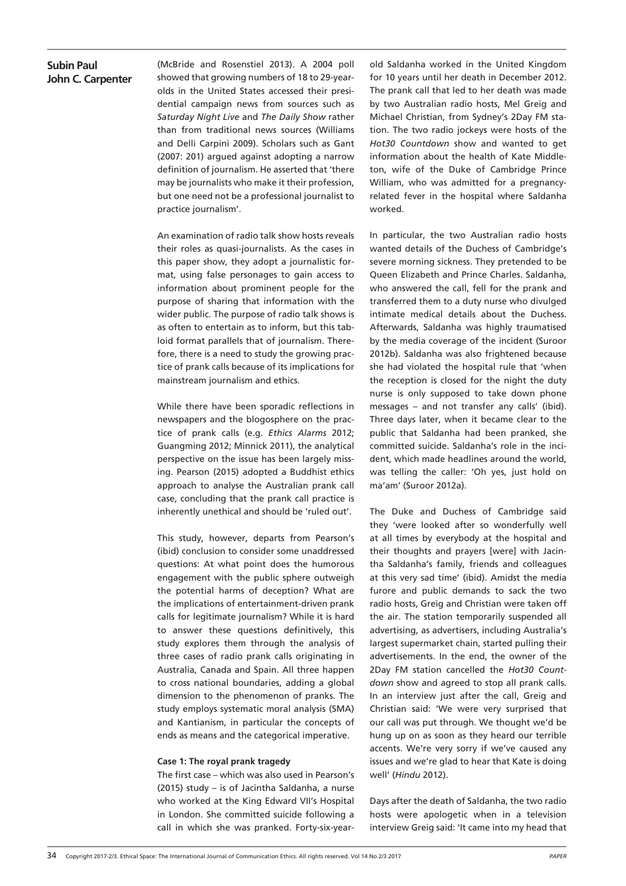(McBride and Rosenstiel 2013). A 2004 poll showed that growing numbers of 18 to 29-yearolds in the United States accessed their presidential campaign news from sources such as *Saturday Night Live* and *The Daily Show* rather than from traditional news sources (Williams and Delli Carpini 2009). Scholars such as Gant (2007: 201) argued against adopting a narrow definition of journalism. He asserted that 'there may be journalists who make it their profession, but one need not be a professional journalist to practice journalism'.

An examination of radio talk show hosts reveals their roles as quasi-journalists. As the cases in this paper show, they adopt a journalistic format, using false personages to gain access to information about prominent people for the purpose of sharing that information with the wider public. The purpose of radio talk shows is as often to entertain as to inform, but this tabloid format parallels that of journalism. Therefore, there is a need to study the growing practice of prank calls because of its implications for mainstream journalism and ethics.

While there have been sporadic reflections in newspapers and the blogosphere on the practice of prank calls (e.g. *Ethics Alarms* 2012; Guangming 2012; Minnick 2011), the analytical perspective on the issue has been largely missing. Pearson (2015) adopted a Buddhist ethics approach to analyse the Australian prank call case, concluding that the prank call practice is inherently unethical and should be 'ruled out'.

This study, however, departs from Pearson's (ibid) conclusion to consider some unaddressed questions: At what point does the humorous engagement with the public sphere outweigh the potential harms of deception? What are the implications of entertainment-driven prank calls for legitimate journalism? While it is hard to answer these questions definitively, this study explores them through the analysis of three cases of radio prank calls originating in Australia, Canada and Spain. All three happen to cross national boundaries, adding a global dimension to the phenomenon of pranks. The study employs systematic moral analysis (SMA) and Kantianism, in particular the concepts of ends as means and the categorical imperative.

#### **Case 1: The royal prank tragedy**

The first case – which was also used in Pearson's (2015) study – is of Jacintha Saldanha, a nurse who worked at the King Edward VII's Hospital in London. She committed suicide following a call in which she was pranked. Forty-six-yearold Saldanha worked in the United Kingdom for 10 years until her death in December 2012. The prank call that led to her death was made by two Australian radio hosts, Mel Greig and Michael Christian, from Sydney's 2Day FM station. The two radio jockeys were hosts of the *Hot30 Countdown* show and wanted to get information about the health of Kate Middleton, wife of the Duke of Cambridge Prince William, who was admitted for a pregnancyrelated fever in the hospital where Saldanha worked.

In particular, the two Australian radio hosts wanted details of the Duchess of Cambridge's severe morning sickness. They pretended to be Queen Elizabeth and Prince Charles. Saldanha, who answered the call, fell for the prank and transferred them to a duty nurse who divulged intimate medical details about the Duchess. Afterwards, Saldanha was highly traumatised by the media coverage of the incident (Suroor 2012b). Saldanha was also frightened because she had violated the hospital rule that 'when the reception is closed for the night the duty nurse is only supposed to take down phone messages – and not transfer any calls' (ibid). Three days later, when it became clear to the public that Saldanha had been pranked, she committed suicide. Saldanha's role in the incident, which made headlines around the world, was telling the caller: 'Oh yes, just hold on ma'am' (Suroor 2012a).

The Duke and Duchess of Cambridge said they 'were looked after so wonderfully well at all times by everybody at the hospital and their thoughts and prayers [were] with Jacintha Saldanha's family, friends and colleagues at this very sad time' (ibid). Amidst the media furore and public demands to sack the two radio hosts, Greig and Christian were taken off the air. The station temporarily suspended all advertising, as advertisers, including Australia's largest supermarket chain, started pulling their advertisements. In the end, the owner of the 2Day FM station cancelled the *Hot30 Countdown* show and agreed to stop all prank calls. In an interview just after the call, Greig and Christian said: 'We were very surprised that our call was put through. We thought we'd be hung up on as soon as they heard our terrible accents. We're very sorry if we've caused any issues and we're glad to hear that Kate is doing well' (*Hindu* 2012).

Days after the death of Saldanha, the two radio hosts were apologetic when in a television interview Greig said: 'It came into my head that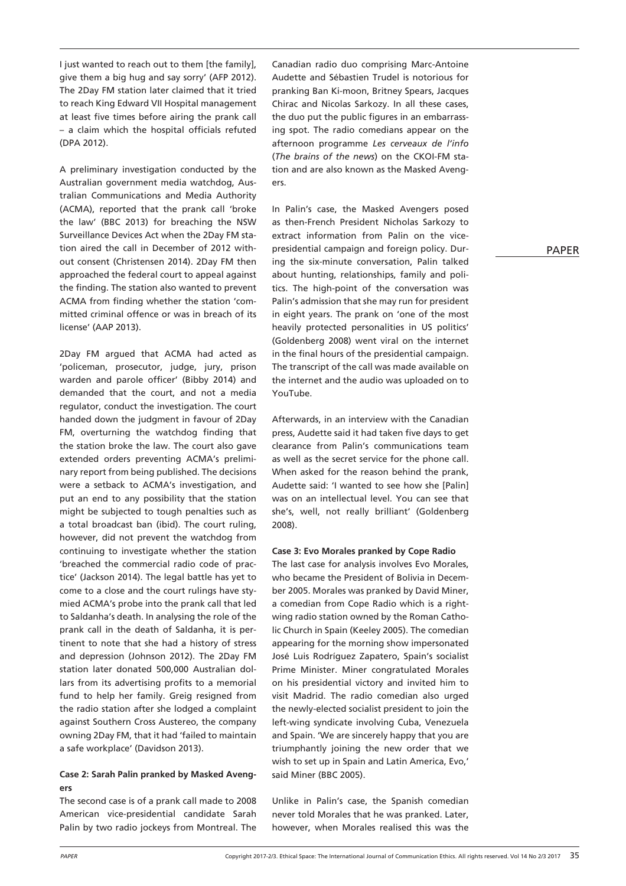I just wanted to reach out to them [the family], give them a big hug and say sorry' (AFP 2012). The 2Day FM station later claimed that it tried to reach King Edward VII Hospital management at least five times before airing the prank call – a claim which the hospital officials refuted (DPA 2012).

A preliminary investigation conducted by the Australian government media watchdog, Australian Communications and Media Authority (ACMA), reported that the prank call 'broke the law' (BBC 2013) for breaching the NSW Surveillance Devices Act when the 2Day FM station aired the call in December of 2012 without consent (Christensen 2014). 2Day FM then approached the federal court to appeal against the finding. The station also wanted to prevent ACMA from finding whether the station 'committed criminal offence or was in breach of its license' (AAP 2013).

2Day FM argued that ACMA had acted as 'policeman, prosecutor, judge, jury, prison warden and parole officer' (Bibby 2014) and demanded that the court, and not a media regulator, conduct the investigation. The court handed down the judgment in favour of 2Day FM, overturning the watchdog finding that the station broke the law. The court also gave extended orders preventing ACMA's preliminary report from being published. The decisions were a setback to ACMA's investigation, and put an end to any possibility that the station might be subjected to tough penalties such as a total broadcast ban (ibid). The court ruling, however, did not prevent the watchdog from continuing to investigate whether the station 'breached the commercial radio code of practice' (Jackson 2014). The legal battle has yet to come to a close and the court rulings have stymied ACMA's probe into the prank call that led to Saldanha's death. In analysing the role of the prank call in the death of Saldanha, it is pertinent to note that she had a history of stress and depression (Johnson 2012). The 2Day FM station later donated 500,000 Australian dollars from its advertising profits to a memorial fund to help her family. Greig resigned from the radio station after she lodged a complaint against Southern Cross Austereo, the company owning 2Day FM, that it had 'failed to maintain a safe workplace' (Davidson 2013).

#### **Case 2: Sarah Palin pranked by Masked Avengers**

The second case is of a prank call made to 2008 American vice-presidential candidate Sarah Palin by two radio jockeys from Montreal. The

Canadian radio duo comprising Marc-Antoine Audette and Sébastien Trudel is notorious for pranking Ban Ki-moon, Britney Spears, Jacques Chirac and Nicolas Sarkozy. In all these cases, the duo put the public figures in an embarrassing spot. The radio comedians appear on the afternoon programme *Les cerveaux de l'info* (*The brains of the news*) on the CKOI-FM station and are also known as the Masked Avengers.

In Palin's case, the Masked Avengers posed as then-French President Nicholas Sarkozy to extract information from Palin on the vicepresidential campaign and foreign policy. During the six-minute conversation, Palin talked about hunting, relationships, family and politics. The high-point of the conversation was Palin's admission that she may run for president in eight years. The prank on 'one of the most heavily protected personalities in US politics' (Goldenberg 2008) went viral on the internet in the final hours of the presidential campaign. The transcript of the call was made available on the internet and the audio was uploaded on to YouTube.

Afterwards, in an interview with the Canadian press, Audette said it had taken five days to get clearance from Palin's communications team as well as the secret service for the phone call. When asked for the reason behind the prank, Audette said: 'I wanted to see how she [Palin] was on an intellectual level. You can see that she's, well, not really brilliant' (Goldenberg 2008).

#### **Case 3: Evo Morales pranked by Cope Radio**

The last case for analysis involves Evo Morales, who became the President of Bolivia in December 2005. Morales was pranked by David Miner, a comedian from Cope Radio which is a rightwing radio station owned by the Roman Catholic Church in Spain (Keeley 2005). The comedian appearing for the morning show impersonated José Luis Rodríguez Zapatero, Spain's socialist Prime Minister. Miner congratulated Morales on his presidential victory and invited him to visit Madrid. The radio comedian also urged the newly-elected socialist president to join the left-wing syndicate involving Cuba, Venezuela and Spain. 'We are sincerely happy that you are triumphantly joining the new order that we wish to set up in Spain and Latin America, Evo,' said Miner (BBC 2005).

Unlike in Palin's case, the Spanish comedian never told Morales that he was pranked. Later, however, when Morales realised this was the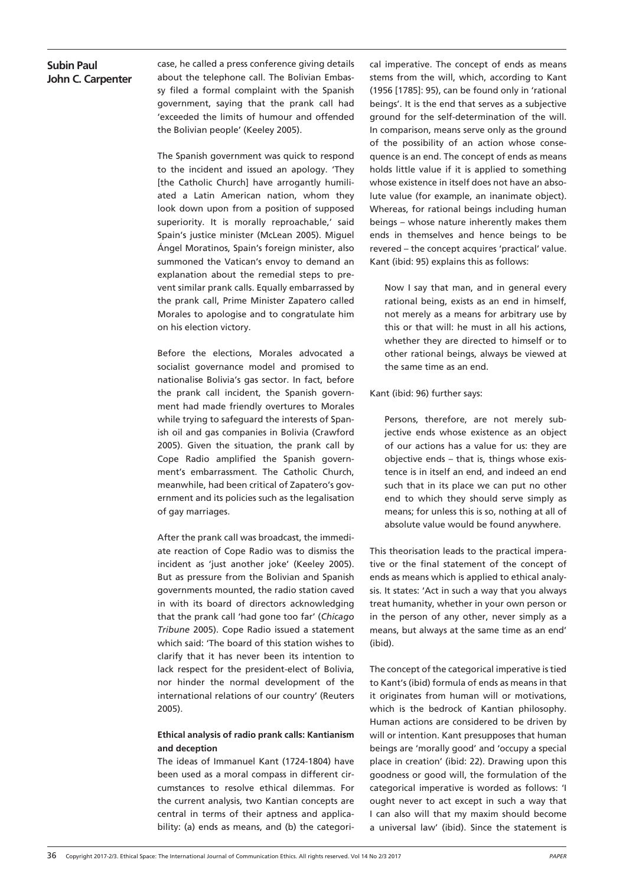case, he called a press conference giving details about the telephone call. The Bolivian Embassy filed a formal complaint with the Spanish government, saying that the prank call had 'exceeded the limits of humour and offended the Bolivian people' (Keeley 2005).

The Spanish government was quick to respond to the incident and issued an apology. 'They [the Catholic Church] have arrogantly humiliated a Latin American nation, whom they look down upon from a position of supposed superiority. It is morally reproachable,' said Spain's justice minister (McLean 2005). Miguel Ángel Moratinos, Spain's foreign minister, also summoned the Vatican's envoy to demand an explanation about the remedial steps to prevent similar prank calls. Equally embarrassed by the prank call, Prime Minister Zapatero called Morales to apologise and to congratulate him on his election victory.

Before the elections, Morales advocated a socialist governance model and promised to nationalise Bolivia's gas sector. In fact, before the prank call incident, the Spanish government had made friendly overtures to Morales while trying to safeguard the interests of Spanish oil and gas companies in Bolivia (Crawford 2005). Given the situation, the prank call by Cope Radio amplified the Spanish government's embarrassment. The Catholic Church, meanwhile, had been critical of Zapatero's government and its policies such as the legalisation of gay marriages.

After the prank call was broadcast, the immediate reaction of Cope Radio was to dismiss the incident as 'just another joke' (Keeley 2005). But as pressure from the Bolivian and Spanish governments mounted, the radio station caved in with its board of directors acknowledging that the prank call 'had gone too far' (*Chicago Tribune* 2005). Cope Radio issued a statement which said: 'The board of this station wishes to clarify that it has never been its intention to lack respect for the president-elect of Bolivia, nor hinder the normal development of the international relations of our country' (Reuters 2005).

### **Ethical analysis of radio prank calls: Kantianism and deception**

The ideas of Immanuel Kant (1724-1804) have been used as a moral compass in different circumstances to resolve ethical dilemmas. For the current analysis, two Kantian concepts are central in terms of their aptness and applicability: (a) ends as means, and (b) the categorical imperative. The concept of ends as means stems from the will, which, according to Kant (1956 [1785]: 95), can be found only in 'rational beings'. It is the end that serves as a subjective ground for the self-determination of the will. In comparison, means serve only as the ground of the possibility of an action whose consequence is an end. The concept of ends as means holds little value if it is applied to something whose existence in itself does not have an absolute value (for example, an inanimate object). Whereas, for rational beings including human beings – whose nature inherently makes them ends in themselves and hence beings to be revered – the concept acquires 'practical' value. Kant (ibid: 95) explains this as follows:

Now I say that man, and in general every rational being, exists as an end in himself, not merely as a means for arbitrary use by this or that will: he must in all his actions, whether they are directed to himself or to other rational beings, always be viewed at the same time as an end.

#### Kant (ibid: 96) further says:

Persons, therefore, are not merely subjective ends whose existence as an object of our actions has a value for us: they are objective ends – that is, things whose existence is in itself an end, and indeed an end such that in its place we can put no other end to which they should serve simply as means; for unless this is so, nothing at all of absolute value would be found anywhere.

This theorisation leads to the practical imperative or the final statement of the concept of ends as means which is applied to ethical analysis. It states: 'Act in such a way that you always treat humanity, whether in your own person or in the person of any other, never simply as a means, but always at the same time as an end' (ibid).

The concept of the categorical imperative is tied to Kant's (ibid) formula of ends as means in that it originates from human will or motivations, which is the bedrock of Kantian philosophy. Human actions are considered to be driven by will or intention. Kant presupposes that human beings are 'morally good' and 'occupy a special place in creation' (ibid: 22). Drawing upon this goodness or good will, the formulation of the categorical imperative is worded as follows: 'I ought never to act except in such a way that I can also will that my maxim should become a universal law' (ibid). Since the statement is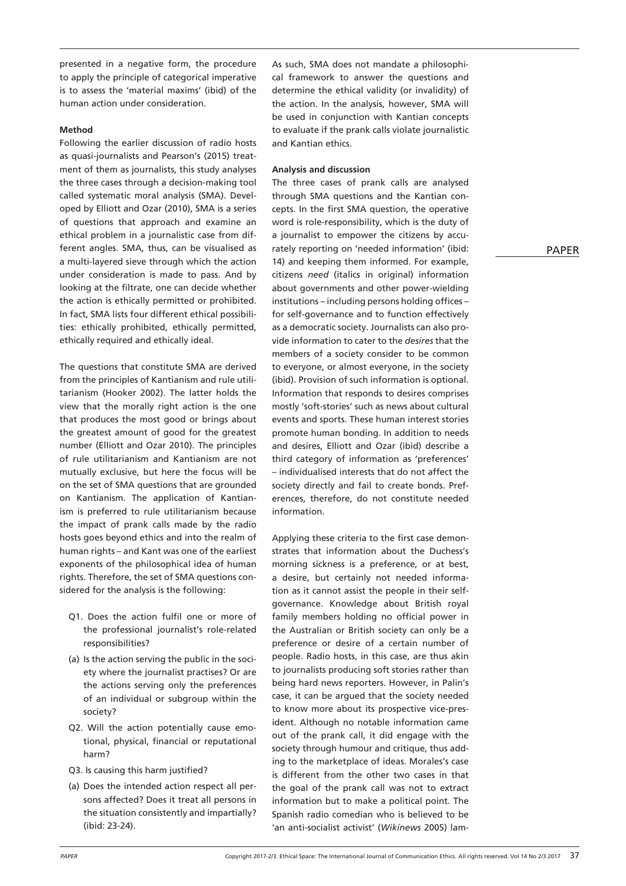presented in a negative form, the procedure to apply the principle of categorical imperative is to assess the 'material maxims' (ibid) of the human action under consideration.

#### **Method**

Following the earlier discussion of radio hosts as quasi-journalists and Pearson's (2015) treatment of them as journalists, this study analyses the three cases through a decision-making tool called systematic moral analysis (SMA). Developed by Elliott and Ozar (2010), SMA is a series of questions that approach and examine an ethical problem in a journalistic case from different angles. SMA, thus, can be visualised as a multi-layered sieve through which the action under consideration is made to pass. And by looking at the filtrate, one can decide whether the action is ethically permitted or prohibited. In fact, SMA lists four different ethical possibilities: ethically prohibited, ethically permitted, ethically required and ethically ideal.

The questions that constitute SMA are derived from the principles of Kantianism and rule utilitarianism (Hooker 2002). The latter holds the view that the morally right action is the one that produces the most good or brings about the greatest amount of good for the greatest number (Elliott and Ozar 2010). The principles of rule utilitarianism and Kantianism are not mutually exclusive, but here the focus will be on the set of SMA questions that are grounded on Kantianism. The application of Kantianism is preferred to rule utilitarianism because the impact of prank calls made by the radio hosts goes beyond ethics and into the realm of human rights – and Kant was one of the earliest exponents of the philosophical idea of human rights. Therefore, the set of SMA questions considered for the analysis is the following:

- Q1. Does the action fulfil one or more of the professional journalist's role-related responsibilities?
- (a) Is the action serving the public in the society where the journalist practises? Or are the actions serving only the preferences of an individual or subgroup within the society?
- Q2. Will the action potentially cause emotional, physical, financial or reputational harm?
- Q3. Is causing this harm justified?
- (a) Does the intended action respect all persons affected? Does it treat all persons in the situation consistently and impartially? (ibid: 23-24).

As such, SMA does not mandate a philosophical framework to answer the questions and determine the ethical validity (or invalidity) of the action. In the analysis, however, SMA will be used in conjunction with Kantian concepts to evaluate if the prank calls violate journalistic and Kantian ethics.

#### **Analysis and discussion**

The three cases of prank calls are analysed through SMA questions and the Kantian concepts. In the first SMA question, the operative word is role-responsibility, which is the duty of a journalist to empower the citizens by accurately reporting on 'needed information' (ibid: 14) and keeping them informed. For example, citizens *need* (italics in original) information about governments and other power-wielding institutions – including persons holding offices – for self-governance and to function effectively as a democratic society. Journalists can also provide information to cater to the *desires* that the members of a society consider to be common to everyone, or almost everyone, in the society (ibid). Provision of such information is optional. Information that responds to desires comprises mostly 'soft-stories' such as news about cultural events and sports. These human interest stories promote human bonding. In addition to needs and desires, Elliott and Ozar (ibid) describe a third category of information as 'preferences' – individualised interests that do not affect the society directly and fail to create bonds. Preferences, therefore, do not constitute needed information.

Applying these criteria to the first case demonstrates that information about the Duchess's morning sickness is a preference, or at best, a desire, but certainly not needed information as it cannot assist the people in their selfgovernance. Knowledge about British royal family members holding no official power in the Australian or British society can only be a preference or desire of a certain number of people. Radio hosts, in this case, are thus akin to journalists producing soft stories rather than being hard news reporters. However, in Palin's case, it can be argued that the society needed to know more about its prospective vice-president. Although no notable information came out of the prank call, it did engage with the society through humour and critique, thus adding to the marketplace of ideas. Morales's case is different from the other two cases in that the goal of the prank call was not to extract information but to make a political point. The Spanish radio comedian who is believed to be 'an anti-socialist activist' (*Wikinews* 2005) lam-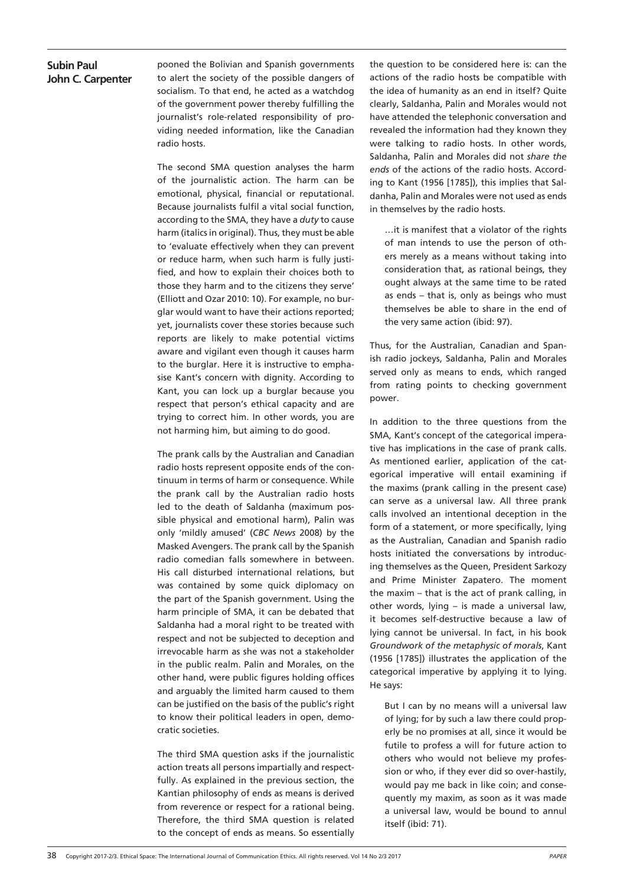pooned the Bolivian and Spanish governments to alert the society of the possible dangers of socialism. To that end, he acted as a watchdog of the government power thereby fulfilling the journalist's role-related responsibility of providing needed information, like the Canadian radio hosts.

The second SMA question analyses the harm of the journalistic action. The harm can be emotional, physical, financial or reputational. Because journalists fulfil a vital social function, according to the SMA, they have a *duty* to cause harm (italics in original). Thus, they must be able to 'evaluate effectively when they can prevent or reduce harm, when such harm is fully justified, and how to explain their choices both to those they harm and to the citizens they serve' (Elliott and Ozar 2010: 10). For example, no burglar would want to have their actions reported; yet, journalists cover these stories because such reports are likely to make potential victims aware and vigilant even though it causes harm to the burglar. Here it is instructive to emphasise Kant's concern with dignity. According to Kant, you can lock up a burglar because you respect that person's ethical capacity and are trying to correct him. In other words, you are not harming him, but aiming to do good.

The prank calls by the Australian and Canadian radio hosts represent opposite ends of the continuum in terms of harm or consequence. While the prank call by the Australian radio hosts led to the death of Saldanha (maximum possible physical and emotional harm), Palin was only 'mildly amused' (*CBC News* 2008) by the Masked Avengers. The prank call by the Spanish radio comedian falls somewhere in between. His call disturbed international relations, but was contained by some quick diplomacy on the part of the Spanish government. Using the harm principle of SMA, it can be debated that Saldanha had a moral right to be treated with respect and not be subjected to deception and irrevocable harm as she was not a stakeholder in the public realm. Palin and Morales, on the other hand, were public figures holding offices and arguably the limited harm caused to them can be justified on the basis of the public's right to know their political leaders in open, democratic societies.

The third SMA question asks if the journalistic action treats all persons impartially and respectfully. As explained in the previous section, the Kantian philosophy of ends as means is derived from reverence or respect for a rational being. Therefore, the third SMA question is related to the concept of ends as means. So essentially

the question to be considered here is: can the actions of the radio hosts be compatible with the idea of humanity as an end in itself? Quite clearly, Saldanha, Palin and Morales would not have attended the telephonic conversation and revealed the information had they known they were talking to radio hosts. In other words, Saldanha, Palin and Morales did not *share the ends* of the actions of the radio hosts. According to Kant (1956 [1785]), this implies that Saldanha, Palin and Morales were not used as ends in themselves by the radio hosts.

…it is manifest that a violator of the rights of man intends to use the person of others merely as a means without taking into consideration that, as rational beings, they ought always at the same time to be rated as ends – that is, only as beings who must themselves be able to share in the end of the very same action (ibid: 97).

Thus, for the Australian, Canadian and Spanish radio jockeys, Saldanha, Palin and Morales served only as means to ends, which ranged from rating points to checking government power.

In addition to the three questions from the SMA, Kant's concept of the categorical imperative has implications in the case of prank calls. As mentioned earlier, application of the categorical imperative will entail examining if the maxims (prank calling in the present case) can serve as a universal law. All three prank calls involved an intentional deception in the form of a statement, or more specifically, lying as the Australian, Canadian and Spanish radio hosts initiated the conversations by introducing themselves as the Queen, President Sarkozy and Prime Minister Zapatero. The moment the maxim – that is the act of prank calling, in other words, lying – is made a universal law, it becomes self-destructive because a law of lying cannot be universal. In fact, in his book *Groundwork of the metaphysic of morals*, Kant (1956 [1785]) illustrates the application of the categorical imperative by applying it to lying. He says:

But I can by no means will a universal law of lying; for by such a law there could properly be no promises at all, since it would be futile to profess a will for future action to others who would not believe my profession or who, if they ever did so over-hastily, would pay me back in like coin; and consequently my maxim, as soon as it was made a universal law, would be bound to annul itself (ibid: 71).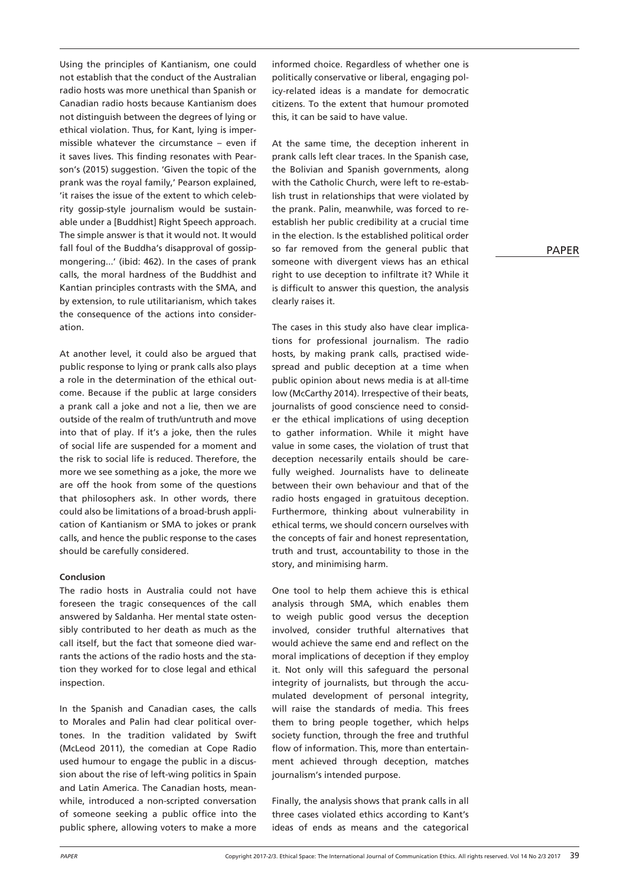Using the principles of Kantianism, one could not establish that the conduct of the Australian radio hosts was more unethical than Spanish or Canadian radio hosts because Kantianism does not distinguish between the degrees of lying or ethical violation. Thus, for Kant, lying is impermissible whatever the circumstance – even if it saves lives. This finding resonates with Pearson's (2015) suggestion. 'Given the topic of the prank was the royal family,' Pearson explained, 'it raises the issue of the extent to which celebrity gossip-style journalism would be sustainable under a [Buddhist] Right Speech approach. The simple answer is that it would not. It would fall foul of the Buddha's disapproval of gossipmongering...' (ibid: 462). In the cases of prank calls, the moral hardness of the Buddhist and Kantian principles contrasts with the SMA, and by extension, to rule utilitarianism, which takes the consequence of the actions into consideration.

At another level, it could also be argued that public response to lying or prank calls also plays a role in the determination of the ethical outcome. Because if the public at large considers a prank call a joke and not a lie, then we are outside of the realm of truth/untruth and move into that of play. If it's a joke, then the rules of social life are suspended for a moment and the risk to social life is reduced. Therefore, the more we see something as a joke, the more we are off the hook from some of the questions that philosophers ask. In other words, there could also be limitations of a broad-brush application of Kantianism or SMA to jokes or prank calls, and hence the public response to the cases should be carefully considered.

#### **Conclusion**

The radio hosts in Australia could not have foreseen the tragic consequences of the call answered by Saldanha. Her mental state ostensibly contributed to her death as much as the call itself, but the fact that someone died warrants the actions of the radio hosts and the station they worked for to close legal and ethical inspection.

In the Spanish and Canadian cases, the calls to Morales and Palin had clear political overtones. In the tradition validated by Swift (McLeod 2011), the comedian at Cope Radio used humour to engage the public in a discussion about the rise of left-wing politics in Spain and Latin America. The Canadian hosts, meanwhile, introduced a non-scripted conversation of someone seeking a public office into the public sphere, allowing voters to make a more

informed choice. Regardless of whether one is politically conservative or liberal, engaging policy-related ideas is a mandate for democratic citizens. To the extent that humour promoted this, it can be said to have value.

At the same time, the deception inherent in prank calls left clear traces. In the Spanish case, the Bolivian and Spanish governments, along with the Catholic Church, were left to re-establish trust in relationships that were violated by the prank. Palin, meanwhile, was forced to reestablish her public credibility at a crucial time in the election. Is the established political order so far removed from the general public that someone with divergent views has an ethical right to use deception to infiltrate it? While it is difficult to answer this question, the analysis clearly raises it.

The cases in this study also have clear implications for professional journalism. The radio hosts, by making prank calls, practised widespread and public deception at a time when public opinion about news media is at all-time low (McCarthy 2014). Irrespective of their beats, journalists of good conscience need to consider the ethical implications of using deception to gather information. While it might have value in some cases, the violation of trust that deception necessarily entails should be carefully weighed. Journalists have to delineate between their own behaviour and that of the radio hosts engaged in gratuitous deception. Furthermore, thinking about vulnerability in ethical terms, we should concern ourselves with the concepts of fair and honest representation, truth and trust, accountability to those in the story, and minimising harm.

One tool to help them achieve this is ethical analysis through SMA, which enables them to weigh public good versus the deception involved, consider truthful alternatives that would achieve the same end and reflect on the moral implications of deception if they employ it. Not only will this safeguard the personal integrity of journalists, but through the accumulated development of personal integrity, will raise the standards of media. This frees them to bring people together, which helps society function, through the free and truthful flow of information. This, more than entertainment achieved through deception, matches journalism's intended purpose.

Finally, the analysis shows that prank calls in all three cases violated ethics according to Kant's ideas of ends as means and the categorical PAPER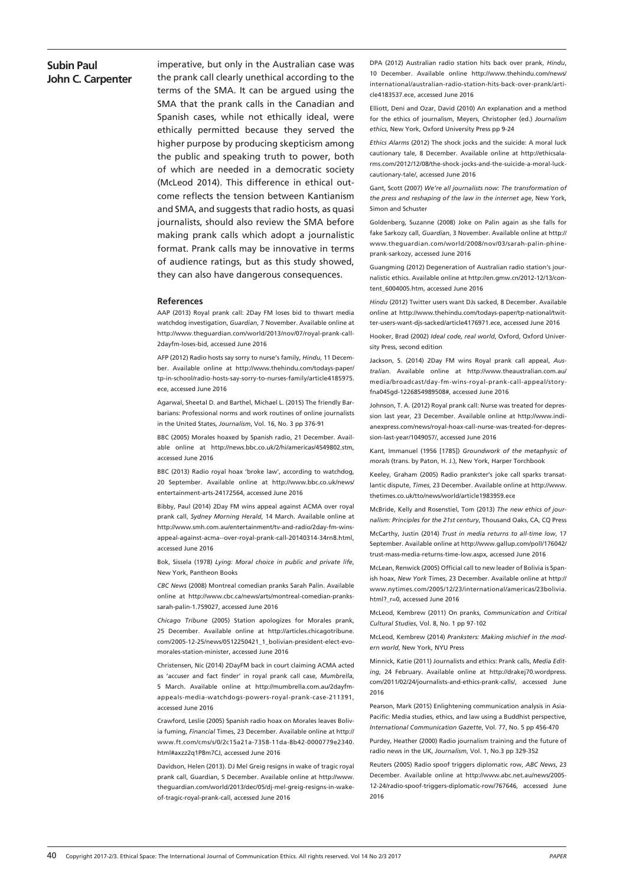imperative, but only in the Australian case was the prank call clearly unethical according to the terms of the SMA. It can be argued using the SMA that the prank calls in the Canadian and Spanish cases, while not ethically ideal, were ethically permitted because they served the higher purpose by producing skepticism among the public and speaking truth to power, both of which are needed in a democratic society (McLeod 2014). This difference in ethical outcome reflects the tension between Kantianism and SMA, and suggests that radio hosts, as quasi journalists, should also review the SMA before making prank calls which adopt a journalistic format. Prank calls may be innovative in terms of audience ratings, but as this study showed, they can also have dangerous consequences.

#### **References**

AAP (2013) Royal prank call: 2Day FM loses bid to thwart media watchdog investigation, *Guardian*, 7 November. Available online at http://www.theguardian.com/world/2013/nov/07/royal-prank-call-2dayfm-loses-bid, accessed June 2016

AFP (2012) Radio hosts say sorry to nurse's family, *Hindu*, 11 December. Available online at http://www.thehindu.com/todays-paper/ tp-in-school/radio-hosts-say-sorry-to-nurses-family/article4185975. ece, accessed June 2016

Agarwal, Sheetal D. and Barthel, Michael L. (2015) The friendly Barbarians: Professional norms and work routines of online journalists in the United States, *Journalism*, Vol. 16, No. 3 pp 376-91

BBC (2005) Morales hoaxed by Spanish radio, 21 December. Available online at http://news.bbc.co.uk/2/hi/americas/4549802.stm, accessed June 2016

BBC (2013) Radio royal hoax 'broke law', according to watchdog, 20 September. Available online at http://www.bbc.co.uk/news/ entertainment-arts-24172564, accessed June 2016

Bibby, Paul (2014) 2Day FM wins appeal against ACMA over royal prank call, *Sydney Morning Herald*, 14 March. Available online at http://www.smh.com.au/entertainment/tv-and-radio/2day-fm-winsappeal-against-acma--over-royal-prank-call-20140314-34rn8.html, accessed June 2016

Bok, Sissela (1978) *Lying: Moral choice in public and private life*, New York, Pantheon Books

*CBC News* (2008) Montreal comedian pranks Sarah Palin. Available online at http://www.cbc.ca/news/arts/montreal-comedian-prankssarah-palin-1.759027, accessed June 2016

*Chicago Tribune* (2005) Station apologizes for Morales prank, 25 December. Available online at http://articles.chicagotribune. com/2005-12-25/news/0512250421\_1\_bolivian-president-elect-evomorales-station-minister, accessed June 2016

Christensen, Nic (2014) 2DayFM back in court claiming ACMA acted as 'accuser and fact finder' in royal prank call case, *Mumbrella*, 5 March. Available online at http://mumbrella.com.au/2dayfmappeals-media-watchdogs-powers-royal-prank-case-211391, accessed June 2016

Crawford, Leslie (2005) Spanish radio hoax on Morales leaves Bolivia fuming, *Financial* Times, 23 December. Available online at http:// www.ft.com/cms/s/0/2c15a21a-7358-11da-8b42-0000779e2340. html#axzz2q1P8m7CJ, accessed June 2016

Davidson, Helen (2013). DJ Mel Greig resigns in wake of tragic royal prank call, Guardian, 5 December. Available online at http://www. theguardian.com/world/2013/dec/05/dj-mel-greig-resigns-in-wakeof-tragic-royal-prank-call, accessed June 2016

DPA (2012) Australian radio station hits back over prank, *Hindu*, 10 December. Available online http://www.thehindu.com/news/ international/australian-radio-station-hits-back-over-prank/article4183537.ece, accessed June 2016

Elliott, Deni and Ozar, David (2010) An explanation and a method for the ethics of journalism, Meyers, Christopher (ed.) *Journalism ethics*, New York, Oxford University Press pp 9-24

*Ethics Alarms* (2012) The shock jocks and the suicide: A moral luck cautionary tale, 8 December. Available online at http://ethicsalarms.com/2012/12/08/the-shock-jocks-and-the-suicide-a-moral-luckcautionary-tale/, accessed June 2016

Gant, Scott (2007) *We're all journalists now: The transformation of the press and reshaping of the law in the internet age*, New York, Simon and Schuster

Goldenberg, Suzanne (2008) Joke on Palin again as she falls for fake Sarkozy call, *Guardian*, 3 November. Available online at http:// www.theguardian.com/world/2008/nov/03/sarah-palin-phineprank-sarkozy, accessed June 2016

Guangming (2012) Degeneration of Australian radio station's journalistic ethics. Available online at http://en.gmw.cn/2012-12/13/content 6004005.htm, accessed June 2016

*Hindu* (2012) Twitter users want DJs sacked, 8 December. Available online at http://www.thehindu.com/todays-paper/tp-national/twitter-users-want-djs-sacked/article4176971.ece, accessed June 2016

Hooker, Brad (2002) *Ideal code, real world*, Oxford, Oxford University Press, second edition

Jackson, S. (2014) 2Day FM wins Royal prank call appeal, *Australian*. Available online at http://www.theaustralian.com.au/ media/broadcast/day-fm-wins-royal-prank-call-appeal/storyfna045gd-1226854989508#, accessed June 2016

Johnson, T. A. (2012) Royal prank call: Nurse was treated for depression last year, 23 December. Available online at http://www.indianexpress.com/news/royal-hoax-call-nurse-was-treated-for-depression-last-year/1049057/, accessed June 2016

Kant, Immanuel (1956 [1785]) *Groundwork of the metaphysic of morals* (trans. by Paton, H. J.), New York, Harper Torchbook

Keeley, Graham (2005) Radio prankster's joke call sparks transatlantic dispute, *Times*, 23 December. Available online at http://www. thetimes.co.uk/tto/news/world/article1983959.ece

McBride, Kelly and Rosenstiel, Tom (2013) *The new ethics of journalism: Principles for the 21st century*, Thousand Oaks, CA, CQ Press

McCarthy, Justin (2014) *Trust in media returns to all-time low*, 17 September. Available online at http://www.gallup.com/poll/176042/ trust-mass-media-returns-time-low.aspx, accessed June 2016

McLean, Renwick (2005) Official call to new leader of Bolivia is Spanish hoax, *New York* Times, 23 December. Available online at http:// www.nytimes.com/2005/12/23/international/americas/23bolivia. html? r=0, accessed June 2016

McLeod, Kembrew (2011) On pranks, *Communication and Critical Cultural Studies*, Vol. 8, No. 1 pp 97-102

McLeod, Kembrew (2014) *Pranksters: Making mischief in the modern world*, New York, NYU Press

Minnick, Katie (2011) Journalists and ethics: Prank calls, *Media Editing*, 24 February. Available online at http://drakej70.wordpress. com/2011/02/24/journalists-and-ethics-prank-calls/, accessed June 2016

Pearson, Mark (2015) Enlightening communication analysis in Asia-Pacific: Media studies, ethics, and law using a Buddhist perspective, *International Communication Gazette*, Vol. 77, No. 5 pp 456-470

Purdey, Heather (2000) Radio journalism training and the future of radio news in the UK, *Journalism*, Vol. 1, No.3 pp 329-352

Reuters (2005) Radio spoof triggers diplomatic row, *ABC News*, 23 December. Available online at http://www.abc.net.au/news/2005- 12-24/radio-spoof-triggers-diplomatic-row/767646, accessed June 2016